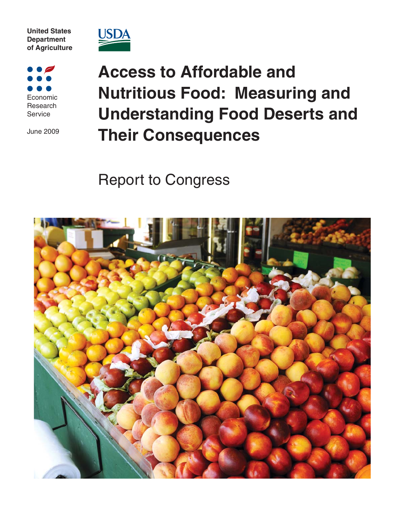**United States Department of Agriculture**



Economic Research **Service** 

June 2009

**Access to Affordable and Nutritious Food: Measuring and Understanding Food Deserts and Their Consequences** 

Report to Congress

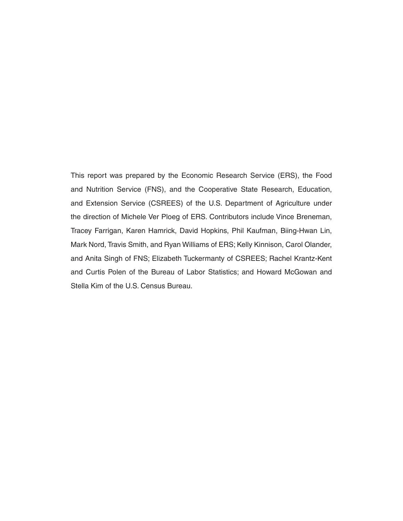This report was prepared by the Economic Research Service (ERS), the Food and Nutrition Service (FNS), and the Cooperative State Research, Education, and Extension Service (CSREES) of the U.S. Department of Agriculture under the direction of Michele Ver Ploeg of ERS. Contributors include Vince Breneman, Tracey Farrigan, Karen Hamrick, David Hopkins, Phil Kaufman, Biing-Hwan Lin, Mark Nord, Travis Smith, and Ryan Williams of ERS; Kelly Kinnison, Carol Olander, and Anita Singh of FNS; Elizabeth Tuckermanty of CSREES; Rachel Krantz-Kent and Curtis Polen of the Bureau of Labor Statistics; and Howard McGowan and Stella Kim of the U.S. Census Bureau.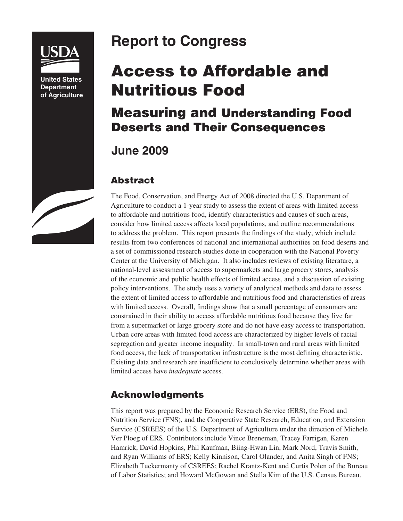

**United States Department of Agriculture**

# **Report to Congress**

# **Access to Affordable and Nutritious Food**

## **Measuring and Understanding Food Deserts and Their Consequences**

## **June 2009**

### **Abstract**

The Food, Conservation, and Energy Act of 2008 directed the U.S. Department of Agriculture to conduct a 1-year study to assess the extent of areas with limited access to affordable and nutritious food, identify characteristics and causes of such areas, consider how limited access affects local populations, and outline recommendations to address the problem. This report presents the findings of the study, which include results from two conferences of national and international authorities on food deserts and a set of commissioned research studies done in cooperation with the National Poverty Center at the University of Michigan. It also includes reviews of existing literature, a national-level assessment of access to supermarkets and large grocery stores, analysis of the economic and public health effects of limited access, and a discussion of existing policy interventions. The study uses a variety of analytical methods and data to assess the extent of limited access to affordable and nutritious food and characteristics of areas with limited access. Overall, findings show that a small percentage of consumers are constrained in their ability to access affordable nutritious food because they live far from a supermarket or large grocery store and do not have easy access to transportation. Urban core areas with limited food access are characterized by higher levels of racial segregation and greater income inequality. In small-town and rural areas with limited food access, the lack of transportation infrastructure is the most defining characteristic. Existing data and research are insufficient to conclusively determine whether areas with limited access have *inadequate* access.

#### **Acknowledgments**

This report was prepared by the Economic Research Service (ERS), the Food and Nutrition Service (FNS), and the Cooperative State Research, Education, and Extension Service (CSREES) of the U.S. Department of Agriculture under the direction of Michele Ver Ploeg of ERS. Contributors include Vince Breneman, Tracey Farrigan, Karen Hamrick, David Hopkins, Phil Kaufman, Biing-Hwan Lin, Mark Nord, Travis Smith, and Ryan Williams of ERS; Kelly Kinnison, Carol Olander, and Anita Singh of FNS; Elizabeth Tuckermanty of CSREES; Rachel Krantz-Kent and Curtis Polen of the Bureau of Labor Statistics; and Howard McGowan and Stella Kim of the U.S. Census Bureau.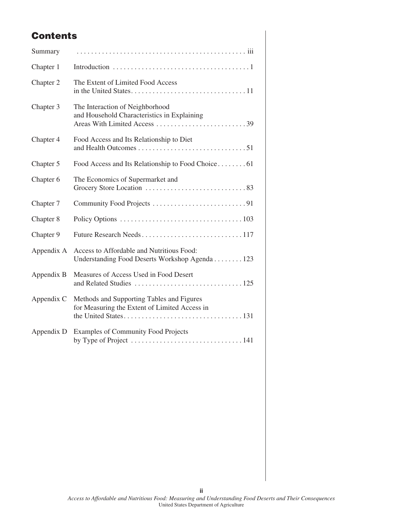## **Contents**

| Summary    |                                                                                             |
|------------|---------------------------------------------------------------------------------------------|
| Chapter 1  |                                                                                             |
| Chapter 2  | The Extent of Limited Food Access                                                           |
| Chapter 3  | The Interaction of Neighborhood<br>and Household Characteristics in Explaining              |
| Chapter 4  | Food Access and Its Relationship to Diet                                                    |
| Chapter 5  | Food Access and Its Relationship to Food Choice61                                           |
| Chapter 6  | The Economics of Supermarket and                                                            |
| Chapter 7  |                                                                                             |
| Chapter 8  |                                                                                             |
| Chapter 9  |                                                                                             |
| Appendix A | Access to Affordable and Nutritious Food:<br>Understanding Food Deserts Workshop Agenda 123 |
| Appendix B | Measures of Access Used in Food Desert                                                      |
| Appendix C | Methods and Supporting Tables and Figures<br>for Measuring the Extent of Limited Access in  |
| Appendix D | <b>Examples of Community Food Projects</b>                                                  |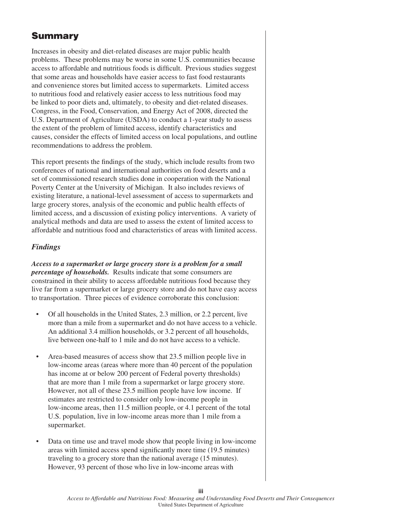### **Summary**

Increases in obesity and diet-related diseases are major public health problems. These problems may be worse in some U.S. communities because access to affordable and nutritious foods is difficult. Previous studies suggest that some areas and households have easier access to fast food restaurants and convenience stores but limited access to supermarkets. Limited access to nutritious food and relatively easier access to less nutritious food may be linked to poor diets and, ultimately, to obesity and diet-related diseases. Congress, in the Food, Conservation, and Energy Act of 2008, directed the U.S. Department of Agriculture (USDA) to conduct a 1-year study to assess the extent of the problem of limited access, identify characteristics and causes, consider the effects of limited access on local populations, and outline recommendations to address the problem.

This report presents the findings of the study, which include results from two conferences of national and international authorities on food deserts and a set of commissioned research studies done in cooperation with the National Poverty Center at the University of Michigan. It also includes reviews of existing literature, a national-level assessment of access to supermarkets and large grocery stores, analysis of the economic and public health effects of limited access, and a discussion of existing policy interventions. A variety of analytical methods and data are used to assess the extent of limited access to affordable and nutritious food and characteristics of areas with limited access.

#### *Findings*

*Access to a supermarket or large grocery store is a problem for a small percentage of households.* Results indicate that some consumers are constrained in their ability to access affordable nutritious food because they live far from a supermarket or large grocery store and do not have easy access to transportation. Three pieces of evidence corroborate this conclusion:

- Of all households in the United States, 2.3 million, or 2.2 percent, live more than a mile from a supermarket and do not have access to a vehicle. An additional 3.4 million households, or 3.2 percent of all households, live between one-half to 1 mile and do not have access to a vehicle.
- Area-based measures of access show that 23.5 million people live in low-income areas (areas where more than 40 percent of the population has income at or below 200 percent of Federal poverty thresholds) that are more than 1 mile from a supermarket or large grocery store. However, not all of these 23.5 million people have low income. If estimates are restricted to consider only low-income people in low-income areas, then 11.5 million people, or 4.1 percent of the total U.S. population, live in low-income areas more than 1 mile from a supermarket.
- Data on time use and travel mode show that people living in low-income areas with limited access spend significantly more time (19.5 minutes) traveling to a grocery store than the national average (15 minutes). However, 93 percent of those who live in low-income areas with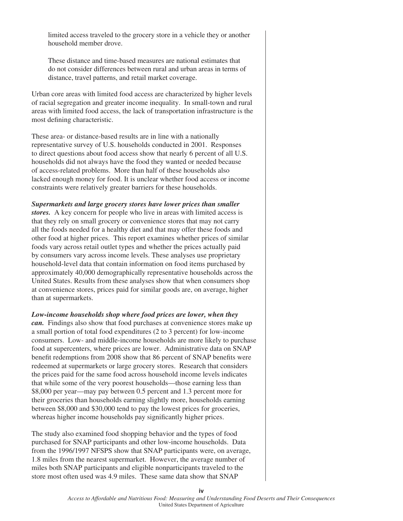limited access traveled to the grocery store in a vehicle they or another household member drove.

These distance and time-based measures are national estimates that do not consider differences between rural and urban areas in terms of distance, travel patterns, and retail market coverage.

Urban core areas with limited food access are characterized by higher levels of racial segregation and greater income inequality. In small-town and rural areas with limited food access, the lack of transportation infrastructure is the most defining characteristic.

These area- or distance-based results are in line with a nationally representative survey of U.S. households conducted in 2001. Responses to direct questions about food access show that nearly 6 percent of all U.S. households did not always have the food they wanted or needed because of access-related problems. More than half of these households also lacked enough money for food. It is unclear whether food access or income constraints were relatively greater barriers for these households.

#### *Supermarkets and large grocery stores have lower prices than smaller*

*stores.* A key concern for people who live in areas with limited access is that they rely on small grocery or convenience stores that may not carry all the foods needed for a healthy diet and that may offer these foods and other food at higher prices. This report examines whether prices of similar foods vary across retail outlet types and whether the prices actually paid by consumers vary across income levels. These analyses use proprietary household-level data that contain information on food items purchased by approximately 40,000 demographically representative households across the United States. Results from these analyses show that when consumers shop at convenience stores, prices paid for similar goods are, on average, higher than at supermarkets.

*Low-income households shop where food prices are lower, when they can.* Findings also show that food purchases at convenience stores make up a small portion of total food expenditures (2 to 3 percent) for low-income consumers. Low- and middle-income households are more likely to purchase food at supercenters, where prices are lower. Administrative data on SNAP benefit redemptions from 2008 show that 86 percent of SNAP benefits were redeemed at supermarkets or large grocery stores. Research that considers the prices paid for the same food across household income levels indicates that while some of the very poorest households—those earning less than \$8,000 per year—may pay between 0.5 percent and 1.3 percent more for their groceries than households earning slightly more, households earning between \$8,000 and \$30,000 tend to pay the lowest prices for groceries, whereas higher income households pay significantly higher prices.

The study also examined food shopping behavior and the types of food purchased for SNAP participants and other low-income households. Data from the 1996/1997 NFSPS show that SNAP participants were, on average, 1.8 miles from the nearest supermarket. However, the average number of miles both SNAP participants and eligible nonparticipants traveled to the store most often used was 4.9 miles. These same data show that SNAP

**iv**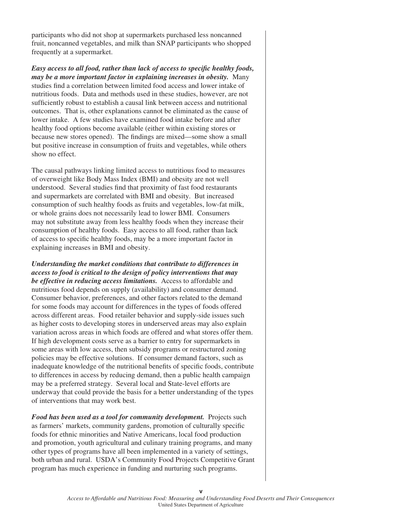participants who did not shop at supermarkets purchased less noncanned fruit, noncanned vegetables, and milk than SNAP participants who shopped frequently at a supermarket.

*Easy access to all food, rather than lack of access to specific healthy foods, may be a more important factor in explaining increases in obesity.* Many studies find a correlation between limited food access and lower intake of nutritious foods. Data and methods used in these studies, however, are not sufficiently robust to establish a causal link between access and nutritional outcomes. That is, other explanations cannot be eliminated as the cause of lower intake. A few studies have examined food intake before and after healthy food options become available (either within existing stores or because new stores opened). The findings are mixed—some show a small but positive increase in consumption of fruits and vegetables, while others show no effect.

The causal pathways linking limited access to nutritious food to measures of overweight like Body Mass Index (BMI) and obesity are not well understood. Several studies find that proximity of fast food restaurants and supermarkets are correlated with BMI and obesity. But increased consumption of such healthy foods as fruits and vegetables, low-fat milk, or whole grains does not necessarily lead to lower BMI. Consumers may not substitute away from less healthy foods when they increase their consumption of healthy foods. Easy access to all food, rather than lack of access to specific healthy foods, may be a more important factor in explaining increases in BMI and obesity.

*Understanding the market conditions that contribute to differences in access to food is critical to the design of policy interventions that may be effective in reducing access limitations.* Access to affordable and nutritious food depends on supply (availability) and consumer demand. Consumer behavior, preferences, and other factors related to the demand for some foods may account for differences in the types of foods offered across different areas. Food retailer behavior and supply-side issues such as higher costs to developing stores in underserved areas may also explain variation across areas in which foods are offered and what stores offer them. If high development costs serve as a barrier to entry for supermarkets in some areas with low access, then subsidy programs or restructured zoning policies may be effective solutions. If consumer demand factors, such as inadequate knowledge of the nutritional benefits of specific foods, contribute to differences in access by reducing demand, then a public health campaign may be a preferred strategy. Several local and State-level efforts are underway that could provide the basis for a better understanding of the types of interventions that may work best.

*Food has been used as a tool for community development.* Projects such as farmers' markets, community gardens, promotion of culturally specific foods for ethnic minorities and Native Americans, local food production and promotion, youth agricultural and culinary training programs, and many other types of programs have all been implemented in a variety of settings, both urban and rural. USDA's Community Food Projects Competitive Grant program has much experience in funding and nurturing such programs.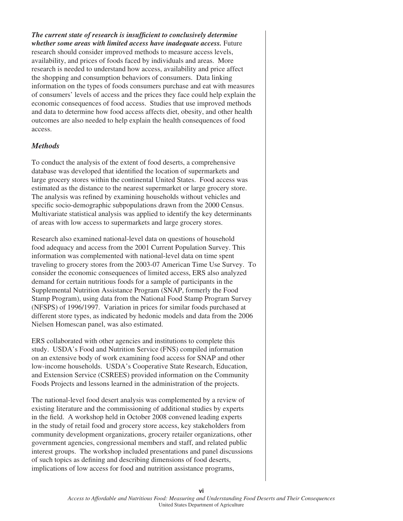**The current state of research is insufficient to conclusively determine** *whether some areas with limited access have inadequate access.* Future research should consider improved methods to measure access levels, availability, and prices of foods faced by individuals and areas. More research is needed to understand how access, availability and price affect the shopping and consumption behaviors of consumers. Data linking information on the types of foods consumers purchase and eat with measures of consumers' levels of access and the prices they face could help explain the economic consequences of food access. Studies that use improved methods and data to determine how food access affects diet, obesity, and other health outcomes are also needed to help explain the health consequences of food access.

#### *Methods*

To conduct the analysis of the extent of food deserts, a comprehensive database was developed that identified the location of supermarkets and large grocery stores within the continental United States. Food access was estimated as the distance to the nearest supermarket or large grocery store. The analysis was refined by examining households without vehicles and specific socio-demographic subpopulations drawn from the 2000 Census. Multivariate statistical analysis was applied to identify the key determinants of areas with low access to supermarkets and large grocery stores.

Research also examined national-level data on questions of household food adequacy and access from the 2001 Current Population Survey. This information was complemented with national-level data on time spent traveling to grocery stores from the 2003-07 American Time Use Survey. To consider the economic consequences of limited access, ERS also analyzed demand for certain nutritious foods for a sample of participants in the Supplemental Nutrition Assistance Program (SNAP, formerly the Food Stamp Program), using data from the National Food Stamp Program Survey (NFSPS) of 1996/1997. Variation in prices for similar foods purchased at different store types, as indicated by hedonic models and data from the 2006 Nielsen Homescan panel, was also estimated.

ERS collaborated with other agencies and institutions to complete this study. USDA's Food and Nutrition Service (FNS) compiled information on an extensive body of work examining food access for SNAP and other low-income households. USDA's Cooperative State Research, Education, and Extension Service (CSREES) provided information on the Community Foods Projects and lessons learned in the administration of the projects.

The national-level food desert analysis was complemented by a review of existing literature and the commissioning of additional studies by experts in the field. A workshop held in October 2008 convened leading experts in the study of retail food and grocery store access, key stakeholders from community development organizations, grocery retailer organizations, other government agencies, congressional members and staff, and related public interest groups. The workshop included presentations and panel discussions of such topics as defining and describing dimensions of food deserts, implications of low access for food and nutrition assistance programs,